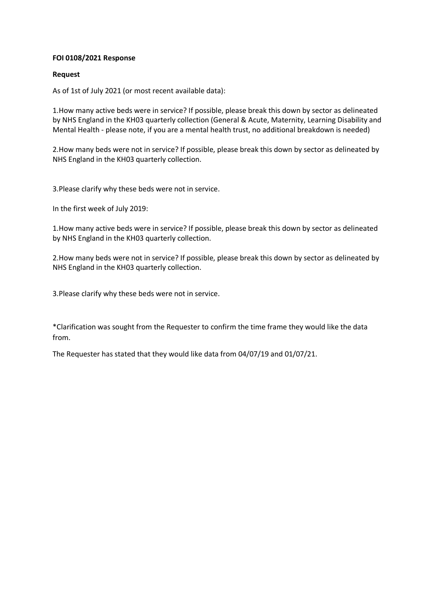## **FOI 0108/2021 Response**

## **Request**

As of 1st of July 2021 (or most recent available data):

1.How many active beds were in service? If possible, please break this down by sector as delineated by NHS England in the KH03 quarterly collection (General & Acute, Maternity, Learning Disability and Mental Health - please note, if you are a mental health trust, no additional breakdown is needed)

2.How many beds were not in service? If possible, please break this down by sector as delineated by NHS England in the KH03 quarterly collection.

3.Please clarify why these beds were not in service.

In the first week of July 2019:

1.How many active beds were in service? If possible, please break this down by sector as delineated by NHS England in the KH03 quarterly collection.

2.How many beds were not in service? If possible, please break this down by sector as delineated by NHS England in the KH03 quarterly collection.

3.Please clarify why these beds were not in service.

\*Clarification was sought from the Requester to confirm the time frame they would like the data from.

The Requester has stated that they would like data from 04/07/19 and 01/07/21.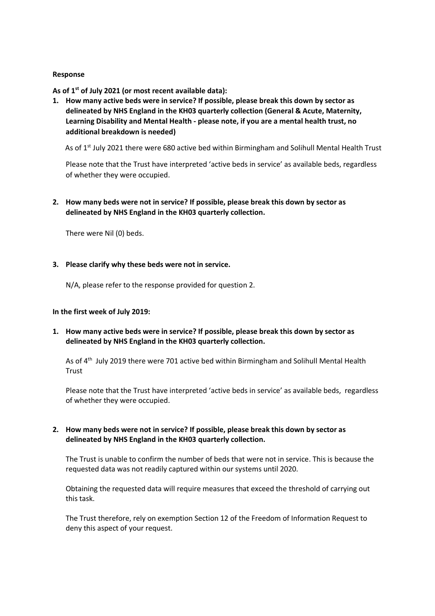## **Response**

**As of 1st of July 2021 (or most recent available data):**

**1. How many active beds were in service? If possible, please break this down by sector as delineated by NHS England in the KH03 quarterly collection (General & Acute, Maternity, Learning Disability and Mental Health - please note, if you are a mental health trust, no additional breakdown is needed)**

As of 1<sup>st</sup> July 2021 there were 680 active bed within Birmingham and Solihull Mental Health Trust

Please note that the Trust have interpreted 'active beds in service' as available beds, regardless of whether they were occupied.

**2. How many beds were not in service? If possible, please break this down by sector as delineated by NHS England in the KH03 quarterly collection.**

There were Nil (0) beds.

#### **3. Please clarify why these beds were not in service.**

N/A, please refer to the response provided for question 2.

#### **In the first week of July 2019:**

**1. How many active beds were in service? If possible, please break this down by sector as delineated by NHS England in the KH03 quarterly collection.** 

As of 4<sup>th</sup> July 2019 there were 701 active bed within Birmingham and Solihull Mental Health **Trust** 

Please note that the Trust have interpreted 'active beds in service' as available beds, regardless of whether they were occupied.

## **2. How many beds were not in service? If possible, please break this down by sector as delineated by NHS England in the KH03 quarterly collection.**

The Trust is unable to confirm the number of beds that were not in service. This is because the requested data was not readily captured within our systems until 2020.

Obtaining the requested data will require measures that exceed the threshold of carrying out this task.

The Trust therefore, rely on exemption Section 12 of the Freedom of Information Request to deny this aspect of your request.